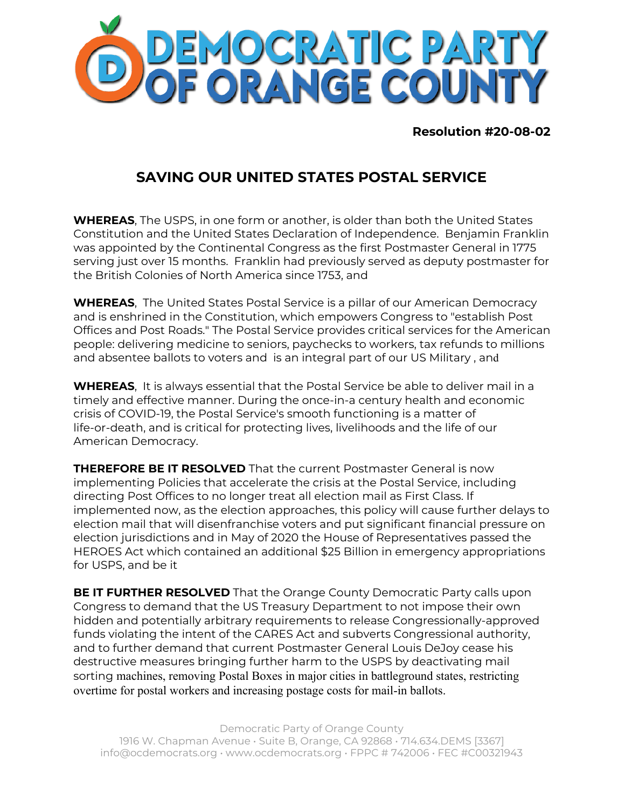

**Resolution #20-08-02**

## **SAVING OUR UNITED STATES POSTAL SERVICE**

**WHEREAS**, The USPS, in one form or another, is older than both the United States Constitution and the United States Declaration of Independence. Benjamin Franklin was appointed by the Continental Congress as the first Postmaster General in 1775 serving just over 15 months. Franklin had previously served as deputy postmaster for the British Colonies of North America since 1753, and

**WHEREAS**, The United States Postal Service is a pillar of our American Democracy and is enshrined in the Constitution, which empowers Congress to "establish Post Offices and Post Roads." The Postal Service provides critical services for the American people: delivering medicine to seniors, paychecks to workers, tax refunds to millions and absentee ballots to voters and is an integral part of our US Military , and

**WHEREAS**, It is always essential that the Postal Service be able to deliver mail in a timely and effective manner. During the once-in-a century health and economic crisis of COVID-19, the Postal Service's smooth functioning is a matter of life-or-death, and is critical for protecting lives, livelihoods and the life of our American Democracy.

**THEREFORE BE IT RESOLVED** That the current Postmaster General is now implementing Policies that accelerate the crisis at the Postal Service, including directing Post Offices to no longer treat all election mail as First Class. If implemented now, as the election approaches, this policy will cause further delays to election mail that will disenfranchise voters and put significant financial pressure on election jurisdictions and in May of 2020 the House of Representatives passed the HEROES Act which contained an additional \$25 Billion in emergency appropriations for USPS, and be it

**BE IT FURTHER RESOLVED** That the Orange County Democratic Party calls upon Congress to demand that the US Treasury Department to not impose their own hidden and potentially arbitrary requirements to release Congressionally-approved funds violating the intent of the CARES Act and subverts Congressional authority, and to further demand that current Postmaster General Louis DeJoy cease his destructive measures bringing further harm to the USPS by deactivating mail sorting machines, removing Postal Boxes in major cities in battleground states, restricting overtime for postal workers and increasing postage costs for mail-in ballots.

Democratic Party of Orange County 1916 W. Chapman Avenue • Suite B, Orange, CA 92868 • 714.634.DEMS [3367] info@ocdemocrats.org • www.ocdemocrats.org • FPPC # 742006 • FEC #C00321943